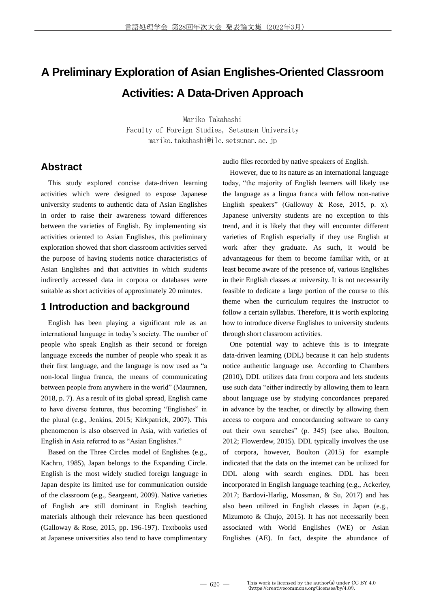# **A Preliminary Exploration of Asian Englishes-Oriented Classroom Activities: A Data-Driven Approach**

Mariko Takahashi Faculty of Foreign Studies, Setsunan University mariko.takahashi@ilc.setsunan.ac.jp

### **Abstract**

This study explored concise data-driven learning activities which were designed to expose Japanese university students to authentic data of Asian Englishes in order to raise their awareness toward differences between the varieties of English. By implementing six activities oriented to Asian Englishes, this preliminary exploration showed that short classroom activities served the purpose of having students notice characteristics of Asian Englishes and that activities in which students indirectly accessed data in corpora or databases were suitable as short activities of approximately 20 minutes.

### **1 Introduction and background**

English has been playing a significant role as an international language in today's society. The number of people who speak English as their second or foreign language exceeds the number of people who speak it as their first language, and the language is now used as "a non-local lingua franca, the means of communicating between people from anywhere in the world" (Mauranen, 2018, p. 7). As a result of its global spread, English came to have diverse features, thus becoming "Englishes" in the plural (e.g., Jenkins, 2015; Kirkpatrick, 2007). This phenomenon is also observed in Asia, with varieties of English in Asia referred to as "Asian Englishes."

Based on the Three Circles model of Englishes (e.g., Kachru, 1985), Japan belongs to the Expanding Circle. English is the most widely studied foreign language in Japan despite its limited use for communication outside of the classroom (e.g., Seargeant, 2009). Native varieties of English are still dominant in English teaching materials although their relevance has been questioned (Galloway & Rose, 2015, pp. 196-197). Textbooks used at Japanese universities also tend to have complimentary audio files recorded by native speakers of English.

However, due to its nature as an international language today, "the majority of English learners will likely use the language as a lingua franca with fellow non-native English speakers" (Galloway & Rose, 2015, p. x). Japanese university students are no exception to this trend, and it is likely that they will encounter different varieties of English especially if they use English at work after they graduate. As such, it would be advantageous for them to become familiar with, or at least become aware of the presence of, various Englishes in their English classes at university. It is not necessarily feasible to dedicate a large portion of the course to this theme when the curriculum requires the instructor to follow a certain syllabus. Therefore, it is worth exploring how to introduce diverse Englishes to university students through short classroom activities.

One potential way to achieve this is to integrate data-driven learning (DDL) because it can help students notice authentic language use. According to Chambers (2010), DDL utilizes data from corpora and lets students use such data "either indirectly by allowing them to learn about language use by studying concordances prepared in advance by the teacher, or directly by allowing them access to corpora and concordancing software to carry out their own searches" (p. 345) (see also, Boulton, 2012; Flowerdew, 2015). DDL typically involves the use of corpora, however, Boulton (2015) for example indicated that the data on the internet can be utilized for DDL along with search engines. DDL has been incorporated in English language teaching (e.g., Ackerley, 2017; Bardovi-Harlig, Mossman, & Su, 2017) and has also been utilized in English classes in Japan (e.g., Mizumoto & Chujo, 2015). It has not necessarily been associated with World Englishes (WE) or Asian Englishes (AE). In fact, despite the abundance of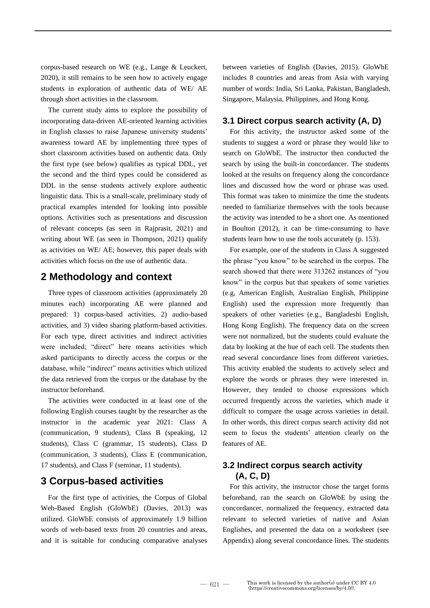corpus-based research on WE (e.g., Lange & Leuckert, 2020), it still remains to be seen how to actively engage students in exploration of authentic data of WE/ AE through short activities in the classroom.

The current study aims to explore the possibility of incorporating data-driven AE-oriented learning activities in English classes to raise Japanese university students' awareness toward AE by implementing three types of short classroom activities based on authentic data. Only the first type (see below) qualifies as typical DDL, yet the second and the third types could be considered as DDL in the sense students actively explore authentic linguistic data. This is a small-scale, preliminary study of practical examples intended for looking into possible options. Activities such as presentations and discussion of relevant concepts (as seen in Rajprasit, 2021) and writing about WE (as seen in Thompson, 2021) qualify as activities on WE/ AE; however, this paper deals with activities which focus on the use of authentic data.

### **2 Methodology and context**

Three types of classroom activities (approximately 20 minutes each) incorporating AE were planned and prepared: 1) corpus-based activities, 2) audio-based activities, and 3) video sharing platform-based activities. For each type, direct activities and indirect activities were included; "direct" here means activities which asked participants to directly access the corpus or the database, while "indirect" means activities which utilized the data retrieved from the corpus or the database by the instructor beforehand.

The activities were conducted in at least one of the following English courses taught by the researcher as the instructor in the academic year 2021: Class A (communication, 9 students), Class B (speaking, 12 students), Class C (grammar, 15 students), Class D (communication, 3 students), Class E (communication, 17 students), and Class F (seminar, 11 students).

### **3 Corpus-based activities**

For the first type of activities, the Corpus of Global Web-Based English (GloWbE) (Davies, 2013) was utilized. GloWbE consists of approximately 1.9 billion words of web-based texts from 20 countries and areas, and it is suitable for conducing comparative analyses between varieties of English (Davies, 2015). GloWbE includes 8 countries and areas from Asia with varying number of words: India, Sri Lanka, Pakistan, Bangladesh, Singapore, Malaysia, Philippines, and Hong Kong.

#### **3.1 Direct corpus search activity (A, D)**

For this activity, the instructor asked some of the students to suggest a word or phrase they would like to search on GloWbE. The instructor then conducted the search by using the built-in concordancer. The students looked at the results on frequency along the concordance lines and discussed how the word or phrase was used. This format was taken to minimize the time the students needed to familiarize themselves with the tools because the activity was intended to be a short one. As mentioned in Boulton (2012), it can be time-consuming to have students learn how to use the tools accurately (p. 153).

For example, one of the students in Class A suggested the phrase "you know" to be searched in the corpus. The search showed that there were 313262 instances of "you know" in the corpus but that speakers of some varieties (e.g, American English, Australian English, Philippine English) used the expression more frequently than speakers of other varieties (e.g., Bangladeshi English, Hong Kong English). The frequency data on the screen were not normalized, but the students could evaluate the data by looking at the hue of each cell. The students then read several concordance lines from different varieties. This activity enabled the students to actively select and explore the words or phrases they were interested in. However, they tended to choose expressions which occurred frequently across the varieties, which made it difficult to compare the usage across varieties in detail. In other words, this direct corpus search activity did not seem to focus the students' attention clearly on the features of AE.

### **3.2 Indirect corpus search activity (A, C, D)**

For this activity, the instructor chose the target forms beforehand, ran the search on GloWbE by using the concordancer, normalized the frequency, extracted data relevant to selected varieties of native and Asian Englishes, and presented the data on a worksheet (see Appendix) along several concordance lines. The students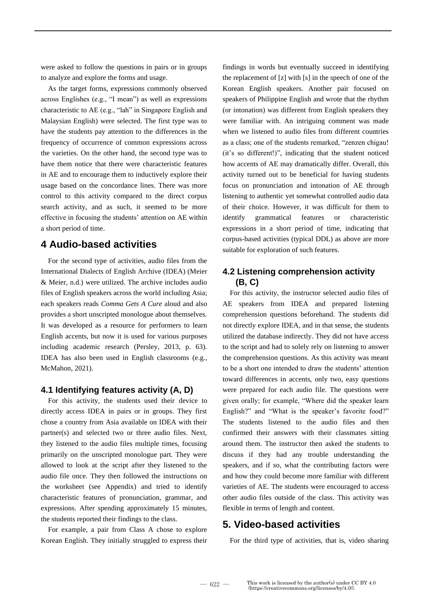were asked to follow the questions in pairs or in groups to analyze and explore the forms and usage.

As the target forms, expressions commonly observed across Englishes (e.g., "I mean") as well as expressions characteristic to AE (e.g., "lah" in Singapore English and Malaysian English) were selected. The first type was to have the students pay attention to the differences in the frequency of occurrence of common expressions across the varieties. On the other hand, the second type was to have them notice that there were characteristic features in AE and to encourage them to inductively explore their usage based on the concordance lines. There was more control to this activity compared to the direct corpus search activity, and as such, it seemed to be more effective in focusing the students' attention on AE within a short period of time.

### **4 Audio-based activities**

For the second type of activities, audio files from the International Dialects of English Archive (IDEA) (Meier & Meier, n.d.) were utilized. The archive includes audio files of English speakers across the world including Asia; each speakers reads *Comma Gets A Cure* aloud and also provides a short unscripted monologue about themselves. It was developed as a resource for performers to learn English accents, but now it is used for various purposes including academic research (Persley, 2013, p. 63). IDEA has also been used in English classrooms (e.g., McMahon, 2021).

#### **4.1 Identifying features activity (A, D)**

For this activity, the students used their device to directly access IDEA in pairs or in groups. They first chose a country from Asia available on IDEA with their partner(s) and selected two or three audio files. Next, they listened to the audio files multiple times, focusing primarily on the unscripted monologue part. They were allowed to look at the script after they listened to the audio file once. They then followed the instructions on the worksheet (see Appendix) and tried to identify characteristic features of pronunciation, grammar, and expressions. After spending approximately 15 minutes, the students reported their findings to the class.

For example, a pair from Class A chose to explore Korean English. They initially struggled to express their findings in words but eventually succeed in identifying the replacement of [z] with [s] in the speech of one of the Korean English speakers. Another pair focused on speakers of Philippine English and wrote that the rhythm (or intonation) was different from English speakers they were familiar with. An intriguing comment was made when we listened to audio files from different countries as a class; one of the students remarked, "zenzen chigau! (it's so different!)", indicating that the student noticed how accents of AE may dramatically differ. Overall, this activity turned out to be beneficial for having students focus on pronunciation and intonation of AE through listening to authentic yet somewhat controlled audio data of their choice. However, it was difficult for them to identify grammatical features or characteristic expressions in a short period of time, indicating that corpus-based activities (typical DDL) as above are more suitable for exploration of such features.

### **4.2 Listening comprehension activity (B, C)**

For this activity, the instructor selected audio files of AE speakers from IDEA and prepared listening comprehension questions beforehand. The students did not directly explore IDEA, and in that sense, the students utilized the database indirectly. They did not have access to the script and had to solely rely on listening to answer the comprehension questions. As this activity was meant to be a short one intended to draw the students' attention toward differences in accents, only two, easy questions were prepared for each audio file. The questions were given orally; for example, "Where did the speaker learn English?" and "What is the speaker's favorite food?" The students listened to the audio files and then confirmed their answers with their classmates sitting around them. The instructor then asked the students to discuss if they had any trouble understanding the speakers, and if so, what the contributing factors were and how they could become more familiar with different varieties of AE. The students were encouraged to access other audio files outside of the class. This activity was flexible in terms of length and content.

### **5. Video-based activities**

For the third type of activities, that is, video sharing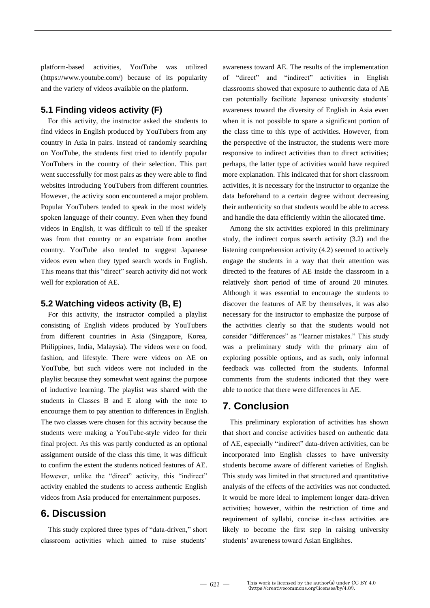platform-based activities, YouTube was utilized (https://www.youtube.com/) because of its popularity and the variety of videos available on the platform.

#### **5.1 Finding videos activity (F)**

For this activity, the instructor asked the students to find videos in English produced by YouTubers from any country in Asia in pairs. Instead of randomly searching on YouTube, the students first tried to identify popular YouTubers in the country of their selection. This part went successfully for most pairs as they were able to find websites introducing YouTubers from different countries. However, the activity soon encountered a major problem. Popular YouTubers tended to speak in the most widely spoken language of their country. Even when they found videos in English, it was difficult to tell if the speaker was from that country or an expatriate from another country. YouTube also tended to suggest Japanese videos even when they typed search words in English. This means that this "direct" search activity did not work well for exploration of AE.

#### **5.2 Watching videos activity (B, E)**

For this activity, the instructor compiled a playlist consisting of English videos produced by YouTubers from different countries in Asia (Singapore, Korea, Philippines, India, Malaysia). The videos were on food, fashion, and lifestyle. There were videos on AE on YouTube, but such videos were not included in the playlist because they somewhat went against the purpose of inductive learning. The playlist was shared with the students in Classes B and E along with the note to encourage them to pay attention to differences in English. The two classes were chosen for this activity because the students were making a YouTube-style video for their final project. As this was partly conducted as an optional assignment outside of the class this time, it was difficult to confirm the extent the students noticed features of AE. However, unlike the "direct" activity, this "indirect" activity enabled the students to access authentic English videos from Asia produced for entertainment purposes.

#### **6. Discussion**

This study explored three types of "data-driven," short classroom activities which aimed to raise students'

awareness toward AE. The results of the implementation of "direct" and "indirect" activities in English classrooms showed that exposure to authentic data of AE can potentially facilitate Japanese university students' awareness toward the diversity of English in Asia even when it is not possible to spare a significant portion of the class time to this type of activities. However, from the perspective of the instructor, the students were more responsive to indirect activities than to direct activities; perhaps, the latter type of activities would have required more explanation. This indicated that for short classroom activities, it is necessary for the instructor to organize the data beforehand to a certain degree without decreasing their authenticity so that students would be able to access and handle the data efficiently within the allocated time.

Among the six activities explored in this preliminary study, the indirect corpus search activity (3.2) and the listening comprehension activity (4.2) seemed to actively engage the students in a way that their attention was directed to the features of AE inside the classroom in a relatively short period of time of around 20 minutes. Although it was essential to encourage the students to discover the features of AE by themselves, it was also necessary for the instructor to emphasize the purpose of the activities clearly so that the students would not consider "differences" as "learner mistakes." This study was a preliminary study with the primary aim of exploring possible options, and as such, only informal feedback was collected from the students. Informal comments from the students indicated that they were able to notice that there were differences in AE.

#### **7. Conclusion**

This preliminary exploration of activities has shown that short and concise activities based on authentic data of AE, especially "indirect" data-driven activities, can be incorporated into English classes to have university students become aware of different varieties of English. This study was limited in that structured and quantitative analysis of the effects of the activities was not conducted. It would be more ideal to implement longer data-driven activities; however, within the restriction of time and requirement of syllabi, concise in-class activities are likely to become the first step in raising university students' awareness toward Asian Englishes.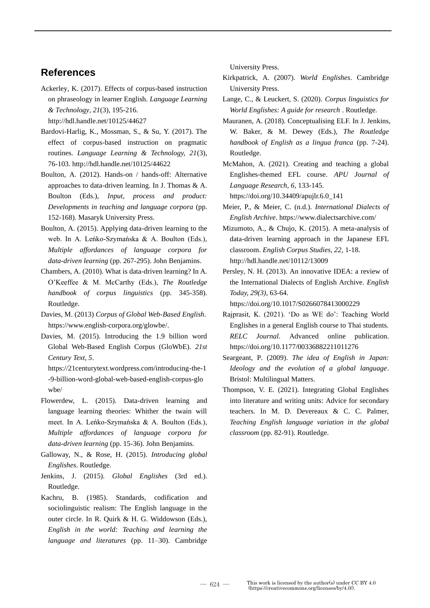### **References**

Ackerley, K. (2017). Effects of corpus-based instruction on phraseology in learner English. *Language Learning & Technology, 21*(3), 195-216.

http://hdl.handle.net/10125/44627

- Bardovi-Harlig, K., Mossman, S., & Su, Y. (2017). The effect of corpus-based instruction on pragmatic routines. *Language Learning & Technology, 21*(3), 76-103. http://hdl.handle.net/10125/44622
- Boulton, A. (2012). Hands-on / hands-off: Alternative approaches to data-driven learning. In J. Thomas & A. Boulton (Eds.), *Input, process and product: Developments in teaching and language corpora* (pp. 152-168). Masaryk University Press.
- Boulton, A. (2015). Applying data-driven learning to the web. In A. Leńko-Szymańska & A. Boulton (Eds.), *Multiple affordances of language corpora for data-driven learning* (pp. 267-295). John Benjamins.
- Chambers, A. (2010). What is data-driven learning? In A. O'Keeffee & M. McCarthy (Eds.), *The Routledge handbook of corpus linguistics* (pp. 345-358). Routledge.
- Davies, M. (2013) *Corpus of Global Web-Based English*. https://www.english-corpora.org/glowbe/.
- Davies, M. (2015). Introducing the 1.9 billion word Global Web-Based English Corpus (GloWbE). *21st Century Text, 5*.

https://21centurytext.wordpress.com/introducing-the-1 -9-billion-word-global-web-based-english-corpus-glo wbe/

- Flowerdew, L. (2015). Data-driven learning and language learning theories: Whither the twain will meet. In A. Leńko-Szymańska & A. Boulton (Eds.), *Multiple affordances of language corpora for data-driven learning* (pp. 15-36). John Benjamins.
- Galloway, N., & Rose, H. (2015). *Introducing global Englishes*. Routledge.
- Jenkins, J. (2015). *Global Englishes* (3rd ed.). Routledge.
- Kachru, B. (1985). Standards, codification and sociolinguistic realism: The English language in the outer circle. In R. Quirk & H. G. Widdowson (Eds.), *English in the world: Teaching and learning the language and literatures* (pp. 11–30). Cambridge

University Press.

- Kirkpatrick, A. (2007). *World Englishes*. Cambridge University Press.
- Lange, C., & Leuckert, S. (2020). *Corpus linguistics for World Englishes: A guide for research* . Routledge.
- Mauranen, A. (2018). Conceptualising ELF. In J. Jenkins, W. Baker, & M. Dewey (Eds.), *The Routledge handbook of English as a lingua franca* (pp. 7-24). Routledge.
- McMahon, A. (2021). Creating and teaching a global Englishes-themed EFL course. *APU Journal of Language Research, 6*, 133-145.

https://doi.org/10.34409/apujlr.6.0\_141

- Mizumoto, A., & Chujo, K. (2015). A meta-analysis of data-driven learning approach in the Japanese EFL classroom. *English Corpus Studies, 22*, 1-18. http://hdl.handle.net/10112/13009
- Persley, N. H. (2013). An innovative IDEA: a review of the International Dialects of English Archive. *English Today, 29(3)*, 63-64.

https://doi.org/10.1017/S0266078413000229

- Rajprasit, K. (2021). 'Do as WE do': Teaching World Englishes in a general English course to Thai students. *RELC Journal*. Advanced online publication. https://doi.org/10.1177/00336882211011276
- Seargeant, P. (2009). *The idea of English in Japan: Ideology and the evolution of a global language*. Bristol: Multilingual Matters.
- Thompson, V. E. (2021). Integrating Global Englishes into literature and writing units: Advice for secondary teachers. In M. D. Devereaux & C. C. Palmer, *Teaching English language variation in the global classroom* (pp. 82-91). Routledge.

Meier, P., & Meier, C. (n.d.). *International Dialects of English Archive*. https://www.dialectsarchive.com/